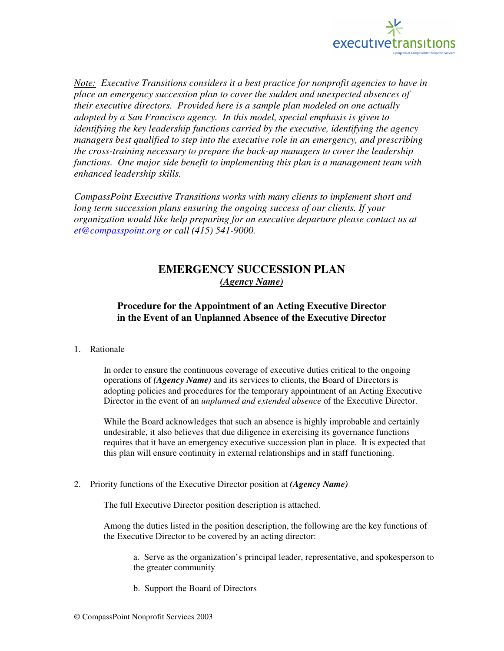

*Note: Executive Transitions considers it a best practice for nonprofit agencies to have in place an emergency succession plan to cover the sudden and unexpected absences of their executive directors. Provided here is a sample plan modeled on one actually adopted by a San Francisco agency. In this model, special emphasis is given to identifying the key leadership functions carried by the executive, identifying the agency managers best qualified to step into the executive role in an emergency, and prescribing the cross-training necessary to prepare the back-up managers to cover the leadership functions. One major side benefit to implementing this plan is a management team with enhanced leadership skills.* 

*CompassPoint Executive Transitions works with many clients to implement short and long term succession plans ensuring the ongoing success of our clients. If your organization would like help preparing for an executive departure please contact us at et@compasspoint.org or call (415) 541-9000.* 

## **EMERGENCY SUCCESSION PLAN**  *(Agency Name)*

## **Procedure for the Appointment of an Acting Executive Director in the Event of an Unplanned Absence of the Executive Director**

1. Rationale

In order to ensure the continuous coverage of executive duties critical to the ongoing operations of *(Agency Name)* and its services to clients, the Board of Directors is adopting policies and procedures for the temporary appointment of an Acting Executive Director in the event of an *unplanned and extended absence* of the Executive Director.

While the Board acknowledges that such an absence is highly improbable and certainly undesirable, it also believes that due diligence in exercising its governance functions requires that it have an emergency executive succession plan in place. It is expected that this plan will ensure continuity in external relationships and in staff functioning.

2. Priority functions of the Executive Director position at *(Agency Name)*

The full Executive Director position description is attached.

Among the duties listed in the position description, the following are the key functions of the Executive Director to be covered by an acting director:

a. Serve as the organization's principal leader, representative, and spokesperson to the greater community

b. Support the Board of Directors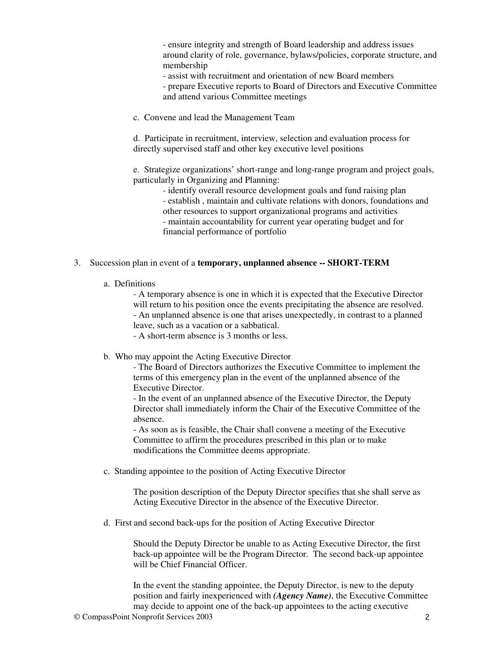- ensure integrity and strength of Board leadership and address issues around clarity of role, governance, bylaws/policies, corporate structure, and membership

- assist with recruitment and orientation of new Board members

- prepare Executive reports to Board of Directors and Executive Committee and attend various Committee meetings

c. Convene and lead the Management Team

d. Participate in recruitment, interview, selection and evaluation process for directly supervised staff and other key executive level positions

e. Strategize organizations' short-range and long-range program and project goals, particularly in Organizing and Planning:

- identify overall resource development goals and fund raising plan - establish , maintain and cultivate relations with donors, foundations and other resources to support organizational programs and activities - maintain accountability for current year operating budget and for financial performance of portfolio

## 3. Succession plan in event of a **temporary, unplanned absence -- SHORT-TERM**

a. Definitions

- A temporary absence is one in which it is expected that the Executive Director will return to his position once the events precipitating the absence are resolved. - An unplanned absence is one that arises unexpectedly, in contrast to a planned leave, such as a vacation or a sabbatical.

- A short-term absence is 3 months or less.

b. Who may appoint the Acting Executive Director

- The Board of Directors authorizes the Executive Committee to implement the terms of this emergency plan in the event of the unplanned absence of the Executive Director.

- In the event of an unplanned absence of the Executive Director, the Deputy Director shall immediately inform the Chair of the Executive Committee of the absence.

- As soon as is feasible, the Chair shall convene a meeting of the Executive Committee to affirm the procedures prescribed in this plan or to make modifications the Committee deems appropriate.

c. Standing appointee to the position of Acting Executive Director

The position description of the Deputy Director specifies that she shall serve as Acting Executive Director in the absence of the Executive Director.

d. First and second back-ups for the position of Acting Executive Director

Should the Deputy Director be unable to as Acting Executive Director, the first back-up appointee will be the Program Director. The second back-up appointee will be Chief Financial Officer.

In the event the standing appointee, the Deputy Director, is new to the deputy position and fairly inexperienced with *(Agency Name)*, the Executive Committee may decide to appoint one of the back-up appointees to the acting executive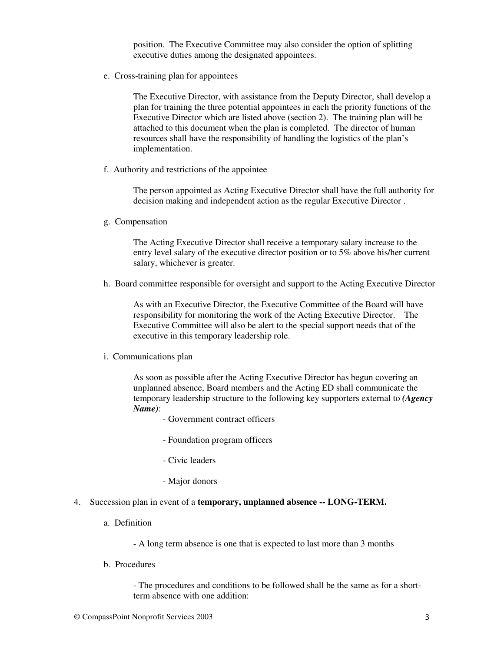position. The Executive Committee may also consider the option of splitting executive duties among the designated appointees.

e. Cross-training plan for appointees

The Executive Director, with assistance from the Deputy Director, shall develop a plan for training the three potential appointees in each the priority functions of the Executive Director which are listed above (section 2). The training plan will be attached to this document when the plan is completed. The director of human resources shall have the responsibility of handling the logistics of the plan's implementation.

f. Authority and restrictions of the appointee

The person appointed as Acting Executive Director shall have the full authority for decision making and independent action as the regular Executive Director .

g. Compensation

The Acting Executive Director shall receive a temporary salary increase to the entry level salary of the executive director position or to 5% above his/her current salary, whichever is greater.

h. Board committee responsible for oversight and support to the Acting Executive Director

As with an Executive Director, the Executive Committee of the Board will have responsibility for monitoring the work of the Acting Executive Director. The Executive Committee will also be alert to the special support needs that of the executive in this temporary leadership role.

i. Communications plan

As soon as possible after the Acting Executive Director has begun covering an unplanned absence, Board members and the Acting ED shall communicate the temporary leadership structure to the following key supporters external to *(Agency Name)*:

- Government contract officers
- Foundation program officers
- Civic leaders
- Major donors
- 4. Succession plan in event of a **temporary, unplanned absence -- LONG-TERM.**
	- a. Definition

- A long term absence is one that is expected to last more than 3 months

b. Procedures

- The procedures and conditions to be followed shall be the same as for a shortterm absence with one addition: